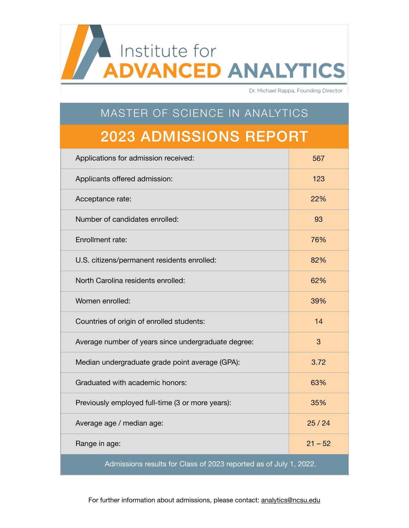Institute for **ADVANCED ANALYTICS** 

Dr. Michael Rappa, Founding Director

## MASTER OF SCIENCE IN ANALYTICS 2023 ADMISSIONS REPORT

| Applications for admission received:                              | 567       |  |
|-------------------------------------------------------------------|-----------|--|
| Applicants offered admission:                                     | 123       |  |
| Acceptance rate:                                                  | 22%       |  |
| Number of candidates enrolled:                                    | 93        |  |
| Enrollment rate:                                                  | 76%       |  |
| U.S. citizens/permanent residents enrolled:                       | 82%       |  |
| North Carolina residents enrolled:                                | 62%       |  |
| Women enrolled:                                                   | 39%       |  |
| Countries of origin of enrolled students:                         | 14        |  |
| Average number of years since undergraduate degree:               | 3         |  |
| Median undergraduate grade point average (GPA):                   | 3.72      |  |
| Graduated with academic honors:                                   | 63%       |  |
| Previously employed full-time (3 or more years):                  | 35%       |  |
| Average age / median age:                                         | 25/24     |  |
| Range in age:                                                     | $21 - 52$ |  |
| Admissions results for Class of 2023 reported as of July 1, 2022. |           |  |

For further information about admissions, please contact: [analytics@ncsu.edu](mailto:analytics@ncsu.edu)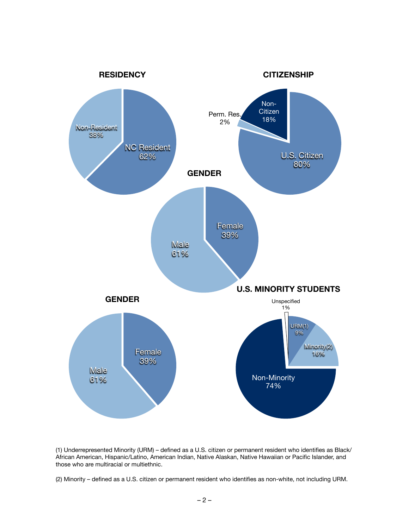

(1) Underrepresented Minority (URM) – defined as a U.S. citizen or permanent resident who identifies as Black/ African American, Hispanic/Latino, American Indian, Native Alaskan, Native Hawaiian or Pacific Islander, and those who are multiracial or multiethnic.

(2) Minority – defined as a U.S. citizen or permanent resident who identifies as non-white, not including URM.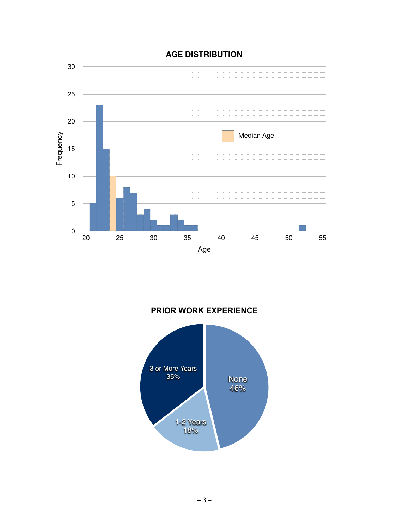#### **AGE DISTRIBUTION**



# 3 or More Years 35% 1-2 Years 18% None 46%

**PRIOR WORK EXPERIENCE**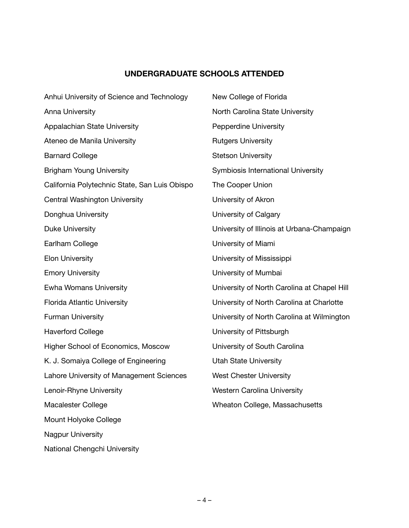#### **UNDERGRADUATE SCHOOLS ATTENDED**

| Anhui University of Science and Technology    | New College of Florida                      |
|-----------------------------------------------|---------------------------------------------|
| <b>Anna University</b>                        | North Carolina State University             |
| Appalachian State University                  | <b>Pepperdine University</b>                |
| Ateneo de Manila University                   | <b>Rutgers University</b>                   |
| <b>Barnard College</b>                        | <b>Stetson University</b>                   |
| <b>Brigham Young University</b>               | Symbiosis International University          |
| California Polytechnic State, San Luis Obispo | The Cooper Union                            |
| <b>Central Washington University</b>          | University of Akron                         |
| Donghua University                            | University of Calgary                       |
| <b>Duke University</b>                        | University of Illinois at Urbana-Champaign  |
| Earlham College                               | University of Miami                         |
| <b>Elon University</b>                        | University of Mississippi                   |
| <b>Emory University</b>                       | University of Mumbai                        |
| <b>Ewha Womans University</b>                 | University of North Carolina at Chapel Hill |
| <b>Florida Atlantic University</b>            | University of North Carolina at Charlotte   |
| <b>Furman University</b>                      | University of North Carolina at Wilmington  |
| <b>Haverford College</b>                      | University of Pittsburgh                    |
| Higher School of Economics, Moscow            | University of South Carolina                |
| K. J. Somaiya College of Engineering          | <b>Utah State University</b>                |
| Lahore University of Management Sciences      | <b>West Chester University</b>              |
| Lenoir-Rhyne University                       | <b>Western Carolina University</b>          |
| <b>Macalester College</b>                     | Wheaton College, Massachusetts              |
| Mount Holyoke College                         |                                             |
| <b>Nagpur University</b>                      |                                             |

National Chengchi University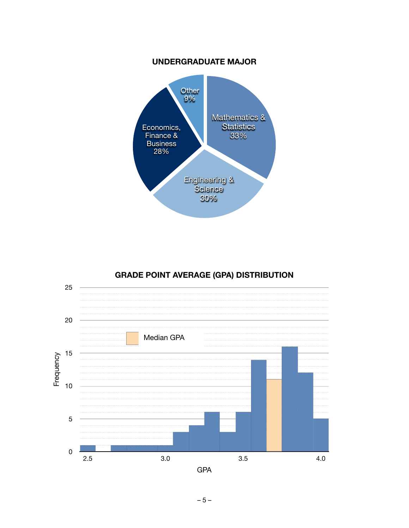#### **UNDERGRADUATE MAJOR**



#### **GRADE POINT AVERAGE (GPA) DISTRIBUTION**

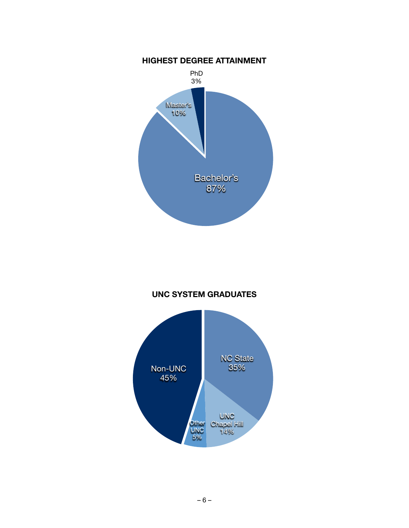

#### **UNC SYSTEM GRADUATES**

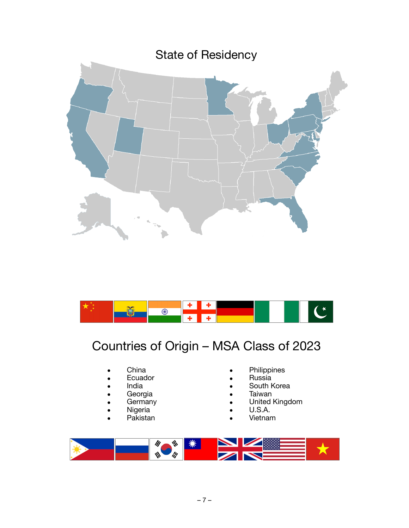



### Countries of Origin – MSA Class of 2023

- China
- **Ecuador**
- India
- **Georgia**
- **Germany**
- **Nigeria**
- Pakistan
- **Philippines**
- Russia
- South Korea
- **Taiwan**
- United Kingdom
- U.S.A.
- Vietnam

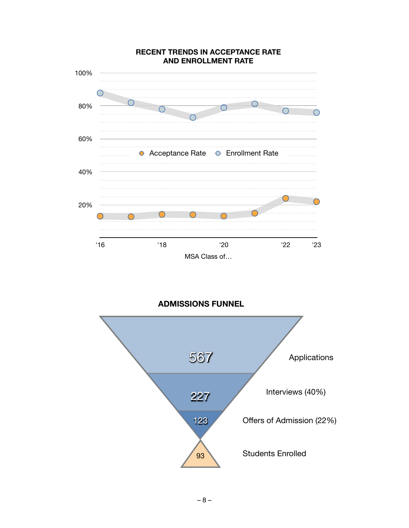

**ADMISSIONS FUNNEL**